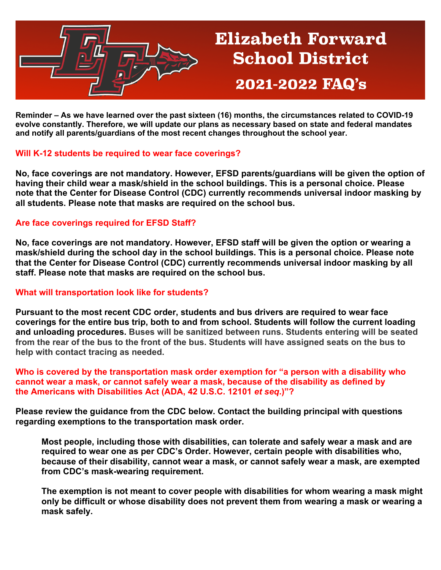

# **Elizabeth Forward School District** 2021-2022 FAQ's

**Reminder – As we have learned over the past sixteen (16) months, the circumstances related to COVID-19 evolve constantly. Therefore, we will update our plans as necessary based on state and federal mandates and notify all parents/guardians of the most recent changes throughout the school year.**

# **Will K-12 students be required to wear face coverings?**

**No, face coverings are not mandatory. However, EFSD parents/guardians will be given the option of having their child wear a mask/shield in the school buildings. This is a personal choice. Please note that the Center for Disease Control (CDC) currently recommends universal indoor masking by all students. Please note that masks are required on the school bus.** 

# **Are face coverings required for EFSD Staff?**

**No, face coverings are not mandatory. However, EFSD staff will be given the option or wearing a mask/shield during the school day in the school buildings. This is a personal choice. Please note that the Center for Disease Control (CDC) currently recommends universal indoor masking by all staff. Please note that masks are required on the school bus.**

# **What will transportation look like for students?**

**Pursuant to the most recent CDC order, students and bus drivers are required to wear face coverings for the entire bus trip, both to and from school. Students will follow the current loading and unloading procedures. Buses will be sanitized between runs. Students entering will be seated from the rear of the bus to the front of the bus. Students will have assigned seats on the bus to help with contact tracing as needed.**

**Who is covered by the transportation mask order exemption for "a person with a disability who cannot wear a mask, or cannot safely wear a mask, because of the disability as defined by the Americans with Disabilities Act (ADA, 42 U.S.C. 12101** *et seq***.)"?**

**Please review the guidance from the CDC below. Contact the building principal with questions regarding exemptions to the transportation mask order.** 

**Most people, including those with disabilities, can tolerate and safely wear a mask and are required to wear one as per CDC's Order. However, certain people with disabilities who, because of their disability, cannot wear a mask, or cannot safely wear a mask, are exempted from CDC's mask-wearing requirement.**

**The exemption is not meant to cover people with disabilities for whom wearing a mask might only be difficult or whose disability does not prevent them from wearing a mask or wearing a mask safely.**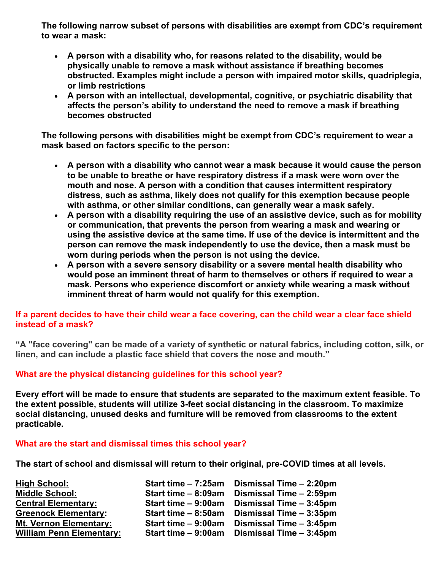**The following narrow subset of persons with disabilities are exempt from CDC's requirement to wear a mask:**

- **A person with a disability who, for reasons related to the disability, would be physically unable to remove a mask without assistance if breathing becomes obstructed. Examples might include a person with impaired motor skills, quadriplegia, or limb restrictions**
- **A person with an intellectual, developmental, cognitive, or psychiatric disability that affects the person's ability to understand the need to remove a mask if breathing becomes obstructed**

**The following persons with disabilities might be exempt from CDC's requirement to wear a mask based on factors specific to the person:**

- **A person with a disability who cannot wear a mask because it would cause the person to be unable to breathe or have respiratory distress if a mask were worn over the mouth and nose. A person with a condition that causes intermittent respiratory distress, such as asthma, likely does not qualify for this exemption because people with asthma, or other similar conditions, can generally wear a mask safely.**
- **A person with a disability requiring the use of an assistive device, such as for mobility or communication, that prevents the person from wearing a mask and wearing or using the assistive device at the same time. If use of the device is intermittent and the person can remove the mask independently to use the device, then a mask must be worn during periods when the person is not using the device.**
- **A person with a severe sensory disability or a severe mental health disability who would pose an imminent threat of harm to themselves or others if required to wear a mask. Persons who experience discomfort or anxiety while wearing a mask without imminent threat of harm would not qualify for this exemption.**

# **If a parent decides to have their child wear a face covering, can the child wear a clear face shield instead of a mask?**

**"A "face covering" can be made of a variety of synthetic or natural fabrics, including cotton, silk, or linen, and can include a plastic face shield that covers the nose and mouth."**

# **What are the physical distancing guidelines for this school year?**

**Every effort will be made to ensure that students are separated to the maximum extent feasible. To the extent possible, students will utilize 3-feet social distancing in the classroom. To maximize social distancing, unused desks and furniture will be removed from classrooms to the extent practicable.** 

# **What are the start and dismissal times this school year?**

**The start of school and dismissal will return to their original, pre-COVID times at all levels.** 

| <b>High School:</b>             | Start time - 7:25am | Dismissal Time - 2:20pm |
|---------------------------------|---------------------|-------------------------|
| <b>Middle School:</b>           | Start time - 8:09am | Dismissal Time - 2:59pm |
| <b>Central Elementary:</b>      | Start time - 9:00am | Dismissal Time - 3:45pm |
| <b>Greenock Elementary:</b>     | Start time - 8:50am | Dismissal Time - 3:35pm |
| <b>Mt. Vernon Elementary:</b>   | Start time - 9:00am | Dismissal Time - 3:45pm |
| <b>William Penn Elementary:</b> | Start time - 9:00am | Dismissal Time - 3:45pm |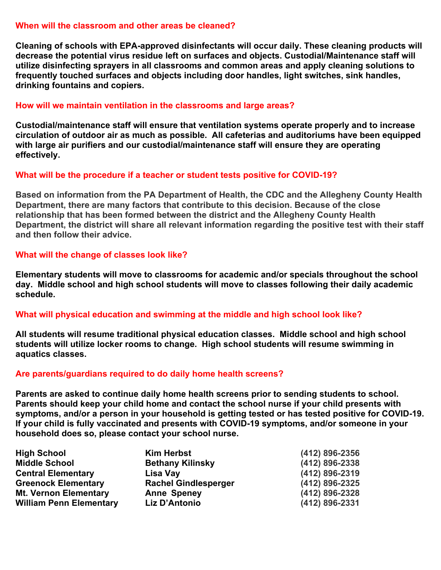## **When will the classroom and other areas be cleaned?**

**Cleaning of schools with EPA-approved disinfectants will occur daily. These cleaning products will decrease the potential virus residue left on surfaces and objects. Custodial/Maintenance staff will utilize disinfecting sprayers in all classrooms and common areas and apply cleaning solutions to frequently touched surfaces and objects including door handles, light switches, sink handles, drinking fountains and copiers.** 

## **How will we maintain ventilation in the classrooms and large areas?**

**Custodial/maintenance staff will ensure that ventilation systems operate properly and to increase circulation of outdoor air as much as possible. All cafeterias and auditoriums have been equipped with large air purifiers and our custodial/maintenance staff will ensure they are operating effectively.** 

## **What will be the procedure if a teacher or student tests positive for COVID-19?**

**Based on information from the PA Department of Health, the CDC and the Allegheny County Health Department, there are many factors that contribute to this decision. Because of the close relationship that has been formed between the district and the Allegheny County Health Department, the district will share all relevant information regarding the positive test with their staff and then follow their advice.**

## **What will the change of classes look like?**

**Elementary students will move to classrooms for academic and/or specials throughout the school day. Middle school and high school students will move to classes following their daily academic schedule.**

#### **What will physical education and swimming at the middle and high school look like?**

**All students will resume traditional physical education classes. Middle school and high school students will utilize locker rooms to change. High school students will resume swimming in aquatics classes.** 

# **Are parents/guardians required to do daily home health screens?**

**Parents are asked to continue daily home health screens prior to sending students to school. Parents should keep your child home and contact the school nurse if your child presents with symptoms, and/or a person in your household is getting tested or has tested positive for COVID-19. If your child is fully vaccinated and presents with COVID-19 symptoms, and/or someone in your household does so, please contact your school nurse.**

| <b>High School</b>             | <b>Kim Herbst</b>           | (412) 896-2356 |
|--------------------------------|-----------------------------|----------------|
| <b>Middle School</b>           | <b>Bethany Kilinsky</b>     | (412) 896-2338 |
| <b>Central Elementary</b>      | Lisa Vay                    | (412) 896-2319 |
| <b>Greenock Elementary</b>     | <b>Rachel Gindlesperger</b> | (412) 896-2325 |
| <b>Mt. Vernon Elementary</b>   | <b>Anne Speney</b>          | (412) 896-2328 |
| <b>William Penn Elementary</b> | Liz D'Antonio               | (412) 896-2331 |